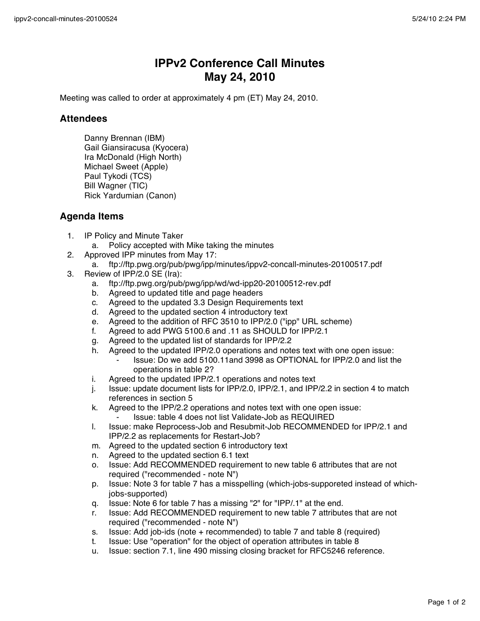## **IPPv2 Conference Call Minutes May 24, 2010**

Meeting was called to order at approximately 4 pm (ET) May 24, 2010.

## **Attendees**

Danny Brennan (IBM) Gail Giansiracusa (Kyocera) Ira McDonald (High North) Michael Sweet (Apple) Paul Tykodi (TCS) Bill Wagner (TIC) Rick Yardumian (Canon)

## **Agenda Items**

- 1. IP Policy and Minute Taker
	- a. Policy accepted with Mike taking the minutes
- 2. Approved IPP minutes from May 17:
	- a. ftp://ftp.pwg.org/pub/pwg/ipp/minutes/ippv2-concall-minutes-20100517.pdf
- 3. Review of IPP/2.0 SE (Ira):
	- a. ftp://ftp.pwg.org/pub/pwg/ipp/wd/wd-ipp20-20100512-rev.pdf
	- b. Agreed to updated title and page headers
	- c. Agreed to the updated 3.3 Design Requirements text
	- d. Agreed to the updated section 4 introductory text
	- e. Agreed to the addition of RFC 3510 to IPP/2.0 ("ipp" URL scheme)
	- f. Agreed to add PWG 5100.6 and .11 as SHOULD for IPP/2.1
	- g. Agreed to the updated list of standards for IPP/2.2
	- h. Agreed to the updated IPP/2.0 operations and notes text with one open issue:
		- ⁃ Issue: Do we add 5100.11and 3998 as OPTIONAL for IPP/2.0 and list the operations in table 2?
	- i. Agreed to the updated IPP/2.1 operations and notes text
	- j. Issue: update document lists for IPP/2.0, IPP/2.1, and IPP/2.2 in section 4 to match references in section 5
	- k. Agreed to the IPP/2.2 operations and notes text with one open issue:
		- Issue: table 4 does not list Validate-Job as REQUIRED
	- l. Issue: make Reprocess-Job and Resubmit-Job RECOMMENDED for IPP/2.1 and IPP/2.2 as replacements for Restart-Job?
	- m. Agreed to the updated section 6 introductory text
	- n. Agreed to the updated section 6.1 text
	- o. Issue: Add RECOMMENDED requirement to new table 6 attributes that are not required ("recommended - note N")
	- p. Issue: Note 3 for table 7 has a misspelling (which-jobs-supporeted instead of whichjobs-supported)
	- q. Issue: Note 6 for table 7 has a missing "2" for "IPP/.1" at the end.
	- r. Issue: Add RECOMMENDED requirement to new table 7 attributes that are not required ("recommended - note N")
	- s. Issue: Add job-ids (note + recommended) to table 7 and table 8 (required)
	- t. Issue: Use "operation" for the object of operation attributes in table 8
	- u. Issue: section 7.1, line 490 missing closing bracket for RFC5246 reference.